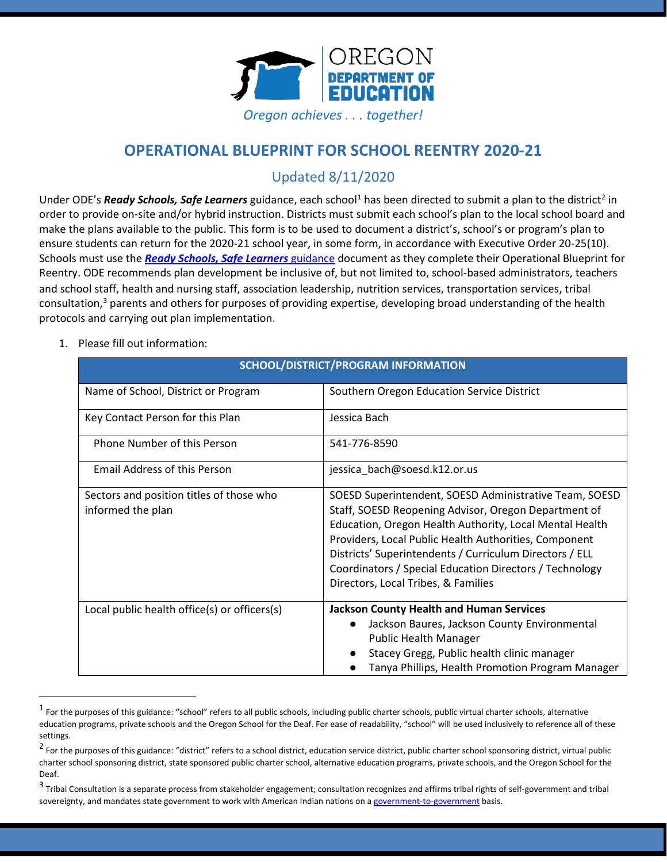

# **OPERATIONAL BLUEPRINT FOR SCHOOL REENTRY 2020-21**

## Updated 8/11/2020

Under ODE's *Ready Schools, Safe Learners* guidance, each school<sup>[1](#page-0-0)</sup> has been directed to submit a plan to the district<sup>2</sup> in order to provide on-site and/or hybrid instruction. Districts must submit each school's plan to the local school board and make the plans available to the public. This form is to be used to document a district's, school's or program's plan to ensure students can return for the 2020-21 school year, in some form, in accordance with Executive Order 20-25(10). Schools must use the *[Ready Schools, Safe Learners](https://www.oregon.gov/ode/students-and-family/healthsafety/Documents/Ready%20Schools%20Safe%20Learners%202020-21%20Guidance.pdf)* [guidance](https://www.oregon.gov/ode/students-and-family/healthsafety/Documents/Ready%20Schools%20Safe%20Learners%202020-21%20Guidance.pdf) document as they complete their Operational Blueprint for Reentry. ODE recommends plan development be inclusive of, but not limited to, school-based administrators, teachers and school staff, health and nursing staff, association leadership, nutrition services, transportation services, tribal consultation,<sup>[3](#page-0-2)</sup> parents and others for purposes of providing expertise, developing broad understanding of the health protocols and carrying out plan implementation.

1. Please fill out information:

| <b>SCHOOL/DISTRICT/PROGRAM INFORMATION</b>                    |                                                                                                                                                                                                                                                                                                                                                                                                 |
|---------------------------------------------------------------|-------------------------------------------------------------------------------------------------------------------------------------------------------------------------------------------------------------------------------------------------------------------------------------------------------------------------------------------------------------------------------------------------|
| Name of School, District or Program                           | Southern Oregon Education Service District                                                                                                                                                                                                                                                                                                                                                      |
| Key Contact Person for this Plan                              | Jessica Bach                                                                                                                                                                                                                                                                                                                                                                                    |
| <b>Phone Number of this Person</b>                            | 541-776-8590                                                                                                                                                                                                                                                                                                                                                                                    |
| <b>Email Address of this Person</b>                           | jessica_bach@soesd.k12.or.us                                                                                                                                                                                                                                                                                                                                                                    |
| Sectors and position titles of those who<br>informed the plan | SOESD Superintendent, SOESD Administrative Team, SOESD<br>Staff, SOESD Reopening Advisor, Oregon Department of<br>Education, Oregon Health Authority, Local Mental Health<br>Providers, Local Public Health Authorities, Component<br>Districts' Superintendents / Curriculum Directors / ELL<br>Coordinators / Special Education Directors / Technology<br>Directors, Local Tribes, & Families |
| Local public health office(s) or officers(s)                  | <b>Jackson County Health and Human Services</b><br>Jackson Baures, Jackson County Environmental<br>$\bullet$<br><b>Public Health Manager</b><br>Stacey Gregg, Public health clinic manager<br>Tanya Phillips, Health Promotion Program Manager                                                                                                                                                  |

<span id="page-0-0"></span> $<sup>1</sup>$  For the purposes of this guidance: "school" refers to all public schools, including public charter schools, public virtual charter schools, alternative</sup> education programs, private schools and the Oregon School for the Deaf. For ease of readability, "school" will be used inclusively to reference all of these settings.

<span id="page-0-1"></span><sup>&</sup>lt;sup>2</sup> For the purposes of this guidance: "district" refers to a school district, education service district, public charter school sponsoring district, virtual public charter school sponsoring district, state sponsored public charter school, alternative education programs, private schools, and the Oregon School for the Deaf.

<span id="page-0-2"></span> $3$  Tribal Consultation is a separate process from stakeholder engagement; consultation recognizes and affirms tribal rights of self-government and tribal sovereignty, and mandates state government to work with American Indian nations on [a government-to-government](http://www.nrc4tribes.org/files/Tab%209_9H%20Oregon%20SB770.pdf) basis.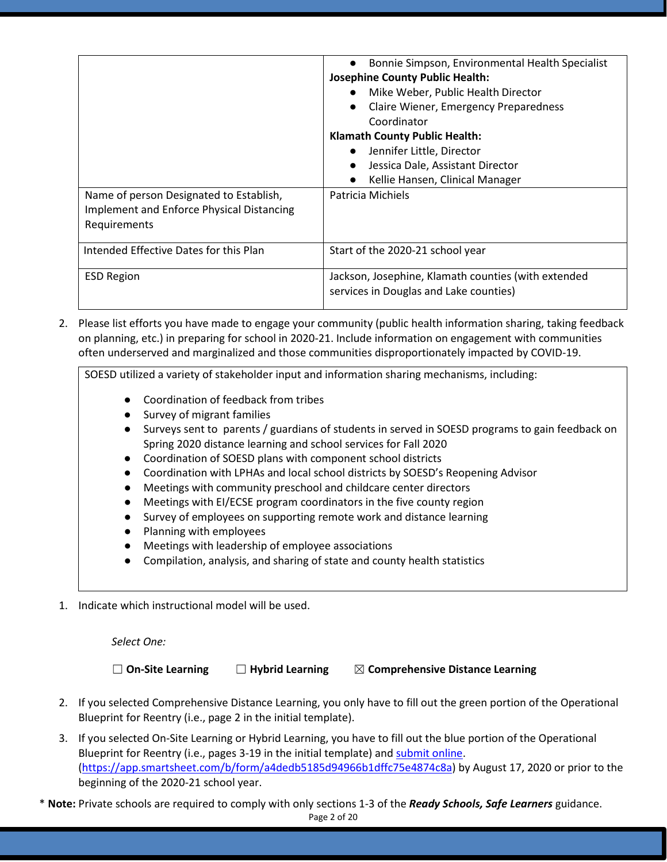|                                                                                                      | Bonnie Simpson, Environmental Health Specialist<br><b>Josephine County Public Health:</b><br>Mike Weber, Public Health Director<br>Claire Wiener, Emergency Preparedness<br>Coordinator<br><b>Klamath County Public Health:</b><br>Jennifer Little, Director |
|------------------------------------------------------------------------------------------------------|--------------------------------------------------------------------------------------------------------------------------------------------------------------------------------------------------------------------------------------------------------------|
|                                                                                                      | Jessica Dale, Assistant Director<br>Kellie Hansen, Clinical Manager                                                                                                                                                                                          |
| Name of person Designated to Establish,<br>Implement and Enforce Physical Distancing<br>Requirements | Patricia Michiels                                                                                                                                                                                                                                            |
| Intended Effective Dates for this Plan                                                               | Start of the 2020-21 school year                                                                                                                                                                                                                             |
| <b>ESD Region</b>                                                                                    | Jackson, Josephine, Klamath counties (with extended<br>services in Douglas and Lake counties)                                                                                                                                                                |

2. Please list efforts you have made to engage your community (public health information sharing, taking feedback on planning, etc.) in preparing for school in 2020-21. Include information on engagement with communities often underserved and marginalized and those communities disproportionately impacted by COVID-19.

SOESD utilized a variety of stakeholder input and information sharing mechanisms, including:

- Coordination of feedback from tribes
- Survey of migrant families
- Surveys sent to parents / guardians of students in served in SOESD programs to gain feedback on Spring 2020 distance learning and school services for Fall 2020
- Coordination of SOESD plans with component school districts
- Coordination with LPHAs and local school districts by SOESD's Reopening Advisor
- Meetings with community preschool and childcare center directors
- Meetings with EI/ECSE program coordinators in the five county region
- Survey of employees on supporting remote work and distance learning
- Planning with employees
- Meetings with leadership of employee associations
- Compilation, analysis, and sharing of state and county health statistics
- 1. Indicate which instructional model will be used.

*Select One:*

☐ **On-Site Learning** ☐ **Hybrid Learning** ☒ **Comprehensive Distance Learning**

- 2. If you selected Comprehensive Distance Learning, you only have to fill out the green portion of the Operational Blueprint for Reentry (i.e., page 2 in the initial template).
- 3. If you selected On-Site Learning or Hybrid Learning, you have to fill out the blue portion of the Operational Blueprint for Reentry (i.e., pages 3-19 in the initial template) an[d submit online.](https://app.smartsheet.com/b/form/a4dedb5185d94966b1dffc75e4874c8a) [\(https://app.smartsheet.com/b/form/a4dedb5185d94966b1dffc75e4874c8a\)](https://app.smartsheet.com/b/form/a4dedb5185d94966b1dffc75e4874c8a) by August 17, 2020 or prior to the beginning of the 2020-21 school year.

\* **Note:** Private schools are required to comply with only sections 1-3 of the *Ready Schools, Safe Learners* guidance.

Page 2 of 20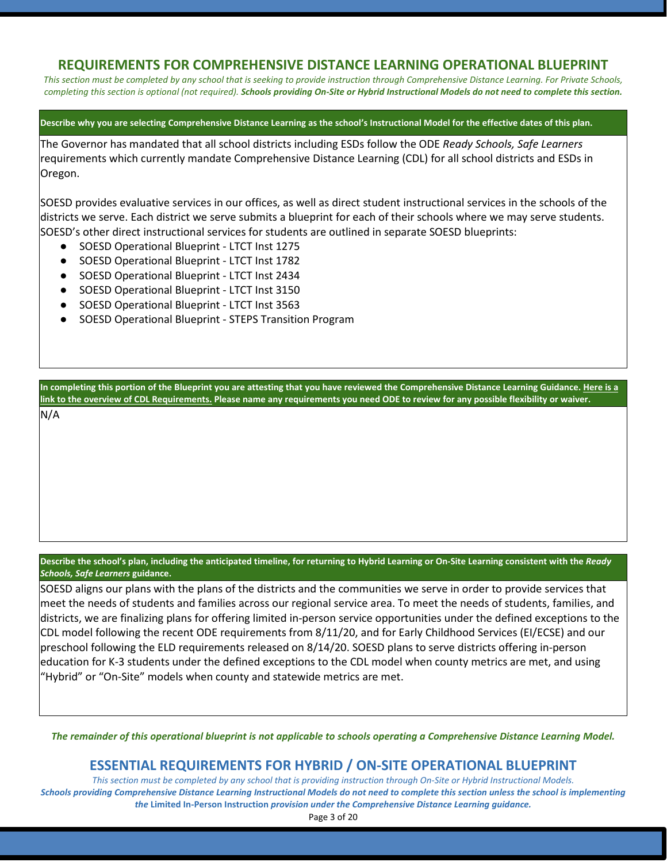## **REQUIREMENTS FOR COMPREHENSIVE DISTANCE LEARNING OPERATIONAL BLUEPRINT**

*This section must be completed by any school that is seeking to provide instruction through Comprehensive Distance Learning. For Private Schools, completing this section is optional (not required). Schools providing On-Site or Hybrid Instructional Models do not need to complete this section.*

**Describe why you are selecting Comprehensive Distance Learning as the school's Instructional Model for the effective dates of this plan.**

The Governor has mandated that all school districts including ESDs follow the ODE *Ready Schools, Safe Learners* requirements which currently mandate Comprehensive Distance Learning (CDL) for all school districts and ESDs in Oregon.

SOESD provides evaluative services in our offices, as well as direct student instructional services in the schools of the districts we serve. Each district we serve submits a blueprint for each of their schools where we may serve students. SOESD's other direct instructional services for students are outlined in separate SOESD blueprints:

- SOESD Operational Blueprint LTCT Inst 1275
- SOESD Operational Blueprint LTCT Inst 1782
- SOESD Operational Blueprint LTCT Inst 2434
- SOESD Operational Blueprint LTCT Inst 3150
- SOESD Operational Blueprint LTCT Inst 3563
- SOESD Operational Blueprint STEPS Transition Program

**In completing this portion of the Blueprint you are attesting that you have reviewed the Comprehensive Distance Learning Guidance[. Here is a](https://www.oregon.gov/ode/students-and-family/healthsafety/Documents/Comprehensive%20Distance%20Learning%20Requirements%20Review.pdf)  [link to the overview of CDL Requirements.](https://www.oregon.gov/ode/students-and-family/healthsafety/Documents/Comprehensive%20Distance%20Learning%20Requirements%20Review.pdf) Please name any requirements you need ODE to review for any possible flexibility or waiver.** 

N/A

**Describe the school's plan, including the anticipated timeline, for returning to Hybrid Learning or On-Site Learning consistent with the** *Ready Schools, Safe Learners* **guidance.**

SOESD aligns our plans with the plans of the districts and the communities we serve in order to provide services that meet the needs of students and families across our regional service area. To meet the needs of students, families, and districts, we are finalizing plans for offering limited in-person service opportunities under the defined exceptions to the CDL model following the recent ODE requirements from 8/11/20, and for Early Childhood Services (EI/ECSE) and our preschool following the ELD requirements released on 8/14/20. SOESD plans to serve districts offering in-person education for K-3 students under the defined exceptions to the CDL model when county metrics are met, and using "Hybrid" or "On-Site" models when county and statewide metrics are met.

*The remainder of this operational blueprint is not applicable to schools operating a Comprehensive Distance Learning Model.*

### **ESSENTIAL REQUIREMENTS FOR HYBRID / ON-SITE OPERATIONAL BLUEPRINT**

*This section must be completed by any school that is providing instruction through On-Site or Hybrid Instructional Models. Schools providing Comprehensive Distance Learning Instructional Models do not need to complete this section unless the school is implementing the* **Limited In-Person Instruction** *provision under the Comprehensive Distance Learning guidance.*

Page 3 of 20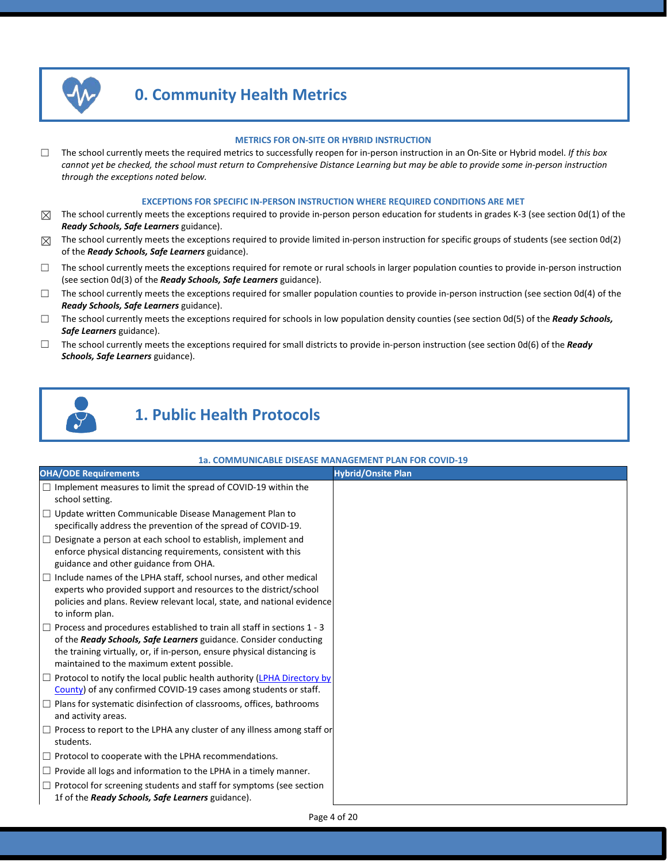

# **0. Community Health Metrics**

#### **METRICS FOR ON-SITE OR HYBRID INSTRUCTION**

☐ The school currently meets the required metrics to successfully reopen for in-person instruction in an On-Site or Hybrid model. *If this box cannot yet be checked, the school must return to Comprehensive Distance Learning but may be able to provide some in-person instruction through the exceptions noted below.*

#### **EXCEPTIONS FOR SPECIFIC IN-PERSON INSTRUCTION WHERE REQUIRED CONDITIONS ARE MET**

- $\boxtimes$  The school currently meets the exceptions required to provide in-person person education for students in grades K-3 (see section 0d(1) of the *Ready Schools, Safe Learners* guidance).
- $\boxtimes$  The school currently meets the exceptions required to provide limited in-person instruction for specific groups of students (see section Od(2) of the *Ready Schools, Safe Learners* guidance).
- ☐ The school currently meets the exceptions required for remote or rural schools in larger population counties to provide in-person instruction (see section 0d(3) of the *Ready Schools, Safe Learners* guidance).
- $\Box$  The school currently meets the exceptions required for smaller population counties to provide in-person instruction (see section 0d(4) of the *Ready Schools, Safe Learners* guidance).
- ☐ The school currently meets the exceptions required for schools in low population density counties (see section 0d(5) of the *Ready Schools, Safe Learners* guidance).
- ☐ The school currently meets the exceptions required for small districts to provide in-person instruction (see section 0d(6) of the *Ready Schools, Safe Learners* guidance).



# **1. Public Health Protocols**

#### **1a. COMMUNICABLE DISEASE MANAGEMENT PLAN FOR COVID-19**

| <b>OHA/ODE Requirements</b>                                                                                                                                                                                                                                           | <b>Hybrid/Onsite Plan</b> |
|-----------------------------------------------------------------------------------------------------------------------------------------------------------------------------------------------------------------------------------------------------------------------|---------------------------|
| $\Box$ Implement measures to limit the spread of COVID-19 within the<br>school setting.                                                                                                                                                                               |                           |
| $\Box$ Update written Communicable Disease Management Plan to<br>specifically address the prevention of the spread of COVID-19.                                                                                                                                       |                           |
| $\Box$ Designate a person at each school to establish, implement and<br>enforce physical distancing requirements, consistent with this<br>guidance and other guidance from OHA.                                                                                       |                           |
| $\Box$ Include names of the LPHA staff, school nurses, and other medical<br>experts who provided support and resources to the district/school<br>policies and plans. Review relevant local, state, and national evidence<br>to inform plan.                           |                           |
| Process and procedures established to train all staff in sections 1 - 3<br>of the Ready Schools, Safe Learners guidance. Consider conducting<br>the training virtually, or, if in-person, ensure physical distancing is<br>maintained to the maximum extent possible. |                           |
| □ Protocol to notify the local public health authority (LPHA Directory by<br>County) of any confirmed COVID-19 cases among students or staff.                                                                                                                         |                           |
| $\Box$ Plans for systematic disinfection of classrooms, offices, bathrooms<br>and activity areas.                                                                                                                                                                     |                           |
| $\Box$ Process to report to the LPHA any cluster of any illness among staff or<br>students.                                                                                                                                                                           |                           |
| $\Box$ Protocol to cooperate with the LPHA recommendations.                                                                                                                                                                                                           |                           |
| $\Box$ Provide all logs and information to the LPHA in a timely manner.                                                                                                                                                                                               |                           |
| $\Box$ Protocol for screening students and staff for symptoms (see section<br>1f of the <b>Ready Schools, Safe Learners</b> guidance).                                                                                                                                |                           |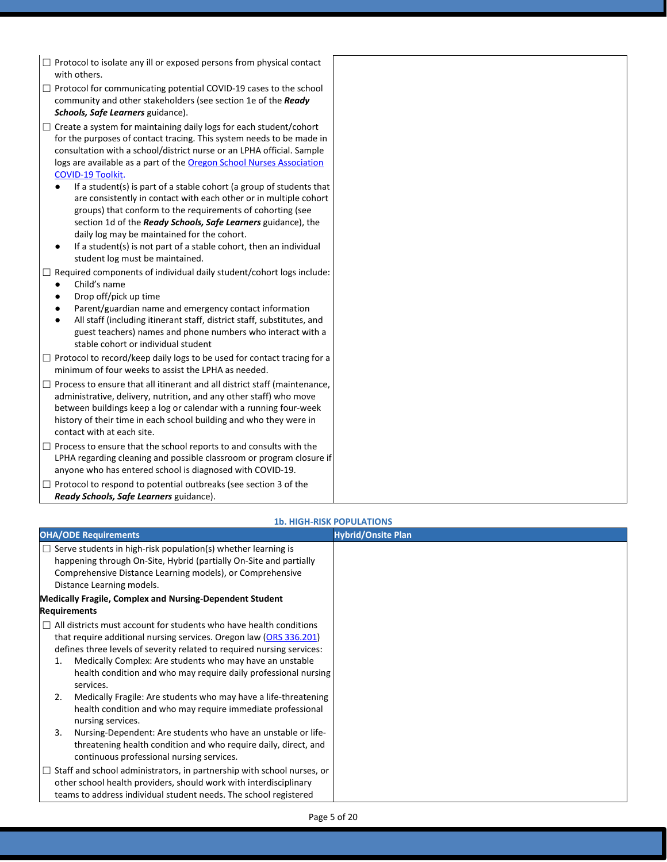- $\Box$  Protocol to isolate any ill or exposed persons from physical contact with others.
- □ Protocol for communicating potential COVID-19 cases to the school community and other stakeholders (see section 1e of the *Ready Schools, Safe Learners* guidance).
- □ Create a system for maintaining daily logs for each student/cohort for the purposes of contact tracing. This system needs to be made in consultation with a school/district nurse or an LPHA official. Sample logs are available as a part of the **[Oregon School Nurses](https://www.oregonschoolnurses.org/resources/covid-19-toolkit) Association** [COVID-19 Toolkit.](https://www.oregonschoolnurses.org/resources/covid-19-toolkit)
	- If a student(s) is part of a stable cohort (a group of students that are consistently in contact with each other or in multiple cohort groups) that conform to the requirements of cohorting (see section 1d of the *Ready Schools, Safe Learners* guidance), the daily log may be maintained for the cohort.
	- If a student(s) is not part of a stable cohort, then an individual student log must be maintained.
- $\Box$  Required components of individual daily student/cohort logs include:
	- Child's name
	- Drop off/pick up time
	- Parent/guardian name and emergency contact information
	- All staff (including itinerant staff, district staff, substitutes, and guest teachers) names and phone numbers who interact with a stable cohort or individual student
- □ Protocol to record/keep daily logs to be used for contact tracing for a minimum of four weeks to assist the LPHA as needed.
- $\Box$  Process to ensure that all itinerant and all district staff (maintenance, administrative, delivery, nutrition, and any other staff) who move between buildings keep a log or calendar with a running four-week history of their time in each school building and who they were in contact with at each site.
- $\Box$  Process to ensure that the school reports to and consults with the LPHA regarding cleaning and possible classroom or program closure if anyone who has entered school is diagnosed with COVID-19.
- $\Box$  Protocol to respond to potential outbreaks (see section 3 of the *Ready Schools, Safe Learners* guidance).

| <b>1b. HIGH-RISK POPULATIONS</b>                                                                                                                                                                                                                                                                                                                                                                                                                     |                           |  |
|------------------------------------------------------------------------------------------------------------------------------------------------------------------------------------------------------------------------------------------------------------------------------------------------------------------------------------------------------------------------------------------------------------------------------------------------------|---------------------------|--|
| <b>OHA/ODE Requirements</b>                                                                                                                                                                                                                                                                                                                                                                                                                          | <b>Hybrid/Onsite Plan</b> |  |
| Serve students in high-risk population(s) whether learning is<br>happening through On-Site, Hybrid (partially On-Site and partially<br>Comprehensive Distance Learning models), or Comprehensive<br>Distance Learning models.                                                                                                                                                                                                                        |                           |  |
| <b>Medically Fragile, Complex and Nursing-Dependent Student</b>                                                                                                                                                                                                                                                                                                                                                                                      |                           |  |
| <b>Requirements</b>                                                                                                                                                                                                                                                                                                                                                                                                                                  |                           |  |
| $\Box$ All districts must account for students who have health conditions<br>that require additional nursing services. Oregon law (ORS 336.201)<br>defines three levels of severity related to required nursing services:<br>Medically Complex: Are students who may have an unstable<br>1.<br>health condition and who may require daily professional nursing<br>services.<br>Medically Fragile: Are students who may have a life-threatening<br>2. |                           |  |
| health condition and who may require immediate professional<br>nursing services.                                                                                                                                                                                                                                                                                                                                                                     |                           |  |
| Nursing-Dependent: Are students who have an unstable or life-<br>3.<br>threatening health condition and who require daily, direct, and<br>continuous professional nursing services.                                                                                                                                                                                                                                                                  |                           |  |
| Staff and school administrators, in partnership with school nurses, or<br>other school health providers, should work with interdisciplinary<br>teams to address individual student needs. The school registered                                                                                                                                                                                                                                      |                           |  |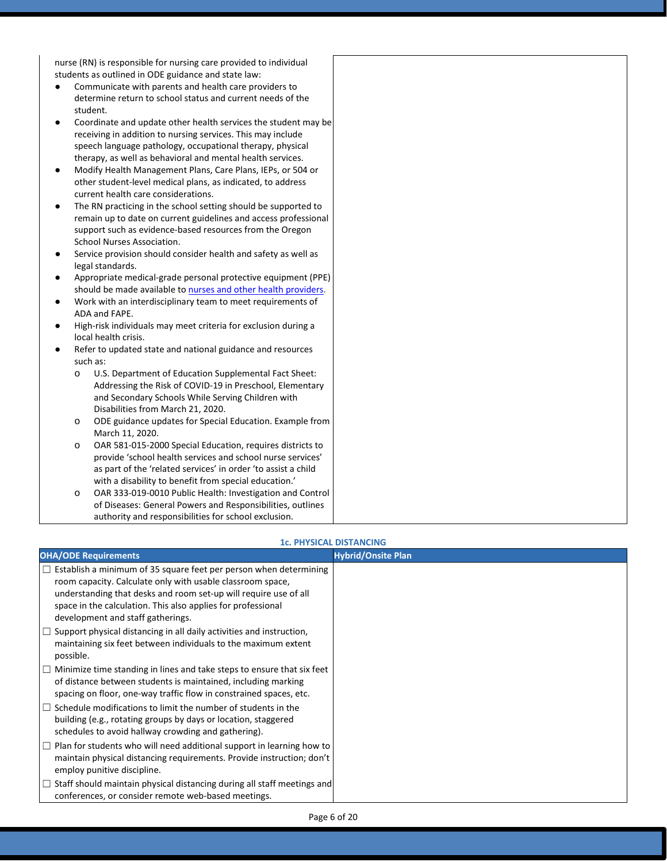nurse (RN) is responsible for nursing care provided to individual students as outlined in ODE guidance and state law:

- Communicate with parents and health care providers to determine return to school status and current needs of the student.
- Coordinate and update other health services the student may be receiving in addition to nursing services. This may include speech language pathology, occupational therapy, physical therapy, as well as behavioral and mental health services.
- Modify Health Management Plans, Care Plans, IEPs, or 504 or other student-level medical plans, as indicated, to address current health care considerations.
- The RN practicing in the school setting should be supported to remain up to date on current guidelines and access professional support such as evidence-based resources from the Oregon School Nurses Association.
- Service provision should consider health and safety as well as legal standards.
- Appropriate medical-grade personal protective equipment (PPE) should be made available to [nurses and other health providers.](https://www.oregon.gov/ode/students-and-family/healthsafety/Documents/Additional%20Considerations%20for%20Staff%20Working%20with%20Students%20with%20Complex%20Needs.pdf)
- Work with an interdisciplinary team to meet requirements of ADA and FAPE.
- High-risk individuals may meet criteria for exclusion during a local health crisis.
- Refer to updated state and national guidance and resources such as:
	- o U.S. Department of Education Supplemental Fact Sheet: Addressing the Risk of COVID-19 in Preschool, Elementary and Secondary Schools While Serving Children with Disabilities from March 21, 2020.
	- o ODE guidance updates for Special Education. Example from March 11, 2020.
	- o OAR 581-015-2000 Special Education, requires districts to provide 'school health services and school nurse services' as part of the 'related services' in order 'to assist a child with a disability to benefit from special education.'
	- o OAR 333-019-0010 Public Health: Investigation and Control of Diseases: General Powers and Responsibilities, outlines authority and responsibilities for school exclusion.

#### **1c. PHYSICAL DISTANCING**

| <b>OHA/ODE Requirements</b>                                                                                                                                                                                                                                                                                     | <b>Hybrid/Onsite Plan</b> |
|-----------------------------------------------------------------------------------------------------------------------------------------------------------------------------------------------------------------------------------------------------------------------------------------------------------------|---------------------------|
| $\Box$ Establish a minimum of 35 square feet per person when determining<br>room capacity. Calculate only with usable classroom space,<br>understanding that desks and room set-up will require use of all<br>space in the calculation. This also applies for professional<br>development and staff gatherings. |                           |
| $\Box$ Support physical distancing in all daily activities and instruction,<br>maintaining six feet between individuals to the maximum extent<br>possible.                                                                                                                                                      |                           |
| $\Box$ Minimize time standing in lines and take steps to ensure that six feet<br>of distance between students is maintained, including marking<br>spacing on floor, one-way traffic flow in constrained spaces, etc.                                                                                            |                           |
| $\Box$ Schedule modifications to limit the number of students in the<br>building (e.g., rotating groups by days or location, staggered<br>schedules to avoid hallway crowding and gathering).                                                                                                                   |                           |
| $\Box$ Plan for students who will need additional support in learning how to<br>maintain physical distancing requirements. Provide instruction; don't<br>employ punitive discipline.                                                                                                                            |                           |
| $\Box$ Staff should maintain physical distancing during all staff meetings and<br>conferences, or consider remote web-based meetings.                                                                                                                                                                           |                           |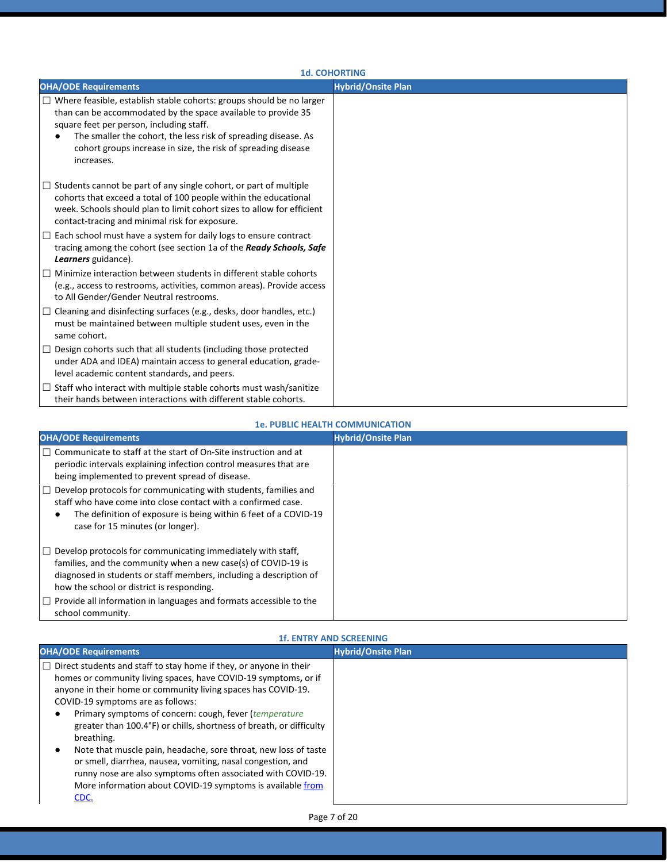| <b>1d. COHORTING</b>                                                                                                                                                                                                                                                                                                                      |                           |  |
|-------------------------------------------------------------------------------------------------------------------------------------------------------------------------------------------------------------------------------------------------------------------------------------------------------------------------------------------|---------------------------|--|
| <b>OHA/ODE Requirements</b>                                                                                                                                                                                                                                                                                                               | <b>Hybrid/Onsite Plan</b> |  |
| $\Box$ Where feasible, establish stable cohorts: groups should be no larger<br>than can be accommodated by the space available to provide 35<br>square feet per person, including staff.<br>The smaller the cohort, the less risk of spreading disease. As<br>cohort groups increase in size, the risk of spreading disease<br>increases. |                           |  |
| $\Box$ Students cannot be part of any single cohort, or part of multiple<br>cohorts that exceed a total of 100 people within the educational<br>week. Schools should plan to limit cohort sizes to allow for efficient<br>contact-tracing and minimal risk for exposure.                                                                  |                           |  |
| $\Box$ Each school must have a system for daily logs to ensure contract<br>tracing among the cohort (see section 1a of the Ready Schools, Safe<br>Learners guidance).                                                                                                                                                                     |                           |  |
| $\Box$ Minimize interaction between students in different stable cohorts<br>(e.g., access to restrooms, activities, common areas). Provide access<br>to All Gender/Gender Neutral restrooms.                                                                                                                                              |                           |  |
| $\Box$ Cleaning and disinfecting surfaces (e.g., desks, door handles, etc.)<br>must be maintained between multiple student uses, even in the<br>same cohort.                                                                                                                                                                              |                           |  |
| $\Box$ Design cohorts such that all students (including those protected<br>under ADA and IDEA) maintain access to general education, grade-<br>level academic content standards, and peers.                                                                                                                                               |                           |  |
| $\Box$ Staff who interact with multiple stable cohorts must wash/sanitize<br>their hands between interactions with different stable cohorts.                                                                                                                                                                                              |                           |  |

#### **1e. PUBLIC HEALTH COMMUNICATION**

| <b>OHA/ODE Requirements</b>                                                                                                                                                                                                                                     | <b>Hybrid/Onsite Plan</b> |
|-----------------------------------------------------------------------------------------------------------------------------------------------------------------------------------------------------------------------------------------------------------------|---------------------------|
| $\Box$ Communicate to staff at the start of On-Site instruction and at<br>periodic intervals explaining infection control measures that are<br>being implemented to prevent spread of disease.                                                                  |                           |
| Develop protocols for communicating with students, families and<br>$\perp$<br>staff who have come into close contact with a confirmed case.<br>The definition of exposure is being within 6 feet of a COVID-19<br>$\bullet$<br>case for 15 minutes (or longer). |                           |
| Develop protocols for communicating immediately with staff,<br>families, and the community when a new case(s) of COVID-19 is<br>diagnosed in students or staff members, including a description of<br>how the school or district is responding.                 |                           |
| $\Box$ Provide all information in languages and formats accessible to the<br>school community.                                                                                                                                                                  |                           |

#### **1f. ENTRY AND SCREENING**

| <b>OHA/ODE Requirements</b>                                                                                                                                                                                                                                                                                                                                                                                                                                                                                                                                                                                                                                               | <b>Hybrid/Onsite Plan</b> |
|---------------------------------------------------------------------------------------------------------------------------------------------------------------------------------------------------------------------------------------------------------------------------------------------------------------------------------------------------------------------------------------------------------------------------------------------------------------------------------------------------------------------------------------------------------------------------------------------------------------------------------------------------------------------------|---------------------------|
| $\Box$ Direct students and staff to stay home if they, or anyone in their<br>homes or community living spaces, have COVID-19 symptoms, or if<br>anyone in their home or community living spaces has COVID-19.<br>COVID-19 symptoms are as follows:<br>Primary symptoms of concern: cough, fever (temperature<br>greater than 100.4°F) or chills, shortness of breath, or difficulty<br>breathing.<br>Note that muscle pain, headache, sore throat, new loss of taste<br>or smell, diarrhea, nausea, vomiting, nasal congestion, and<br>runny nose are also symptoms often associated with COVID-19.<br>More information about COVID-19 symptoms is available from<br>CDC. |                           |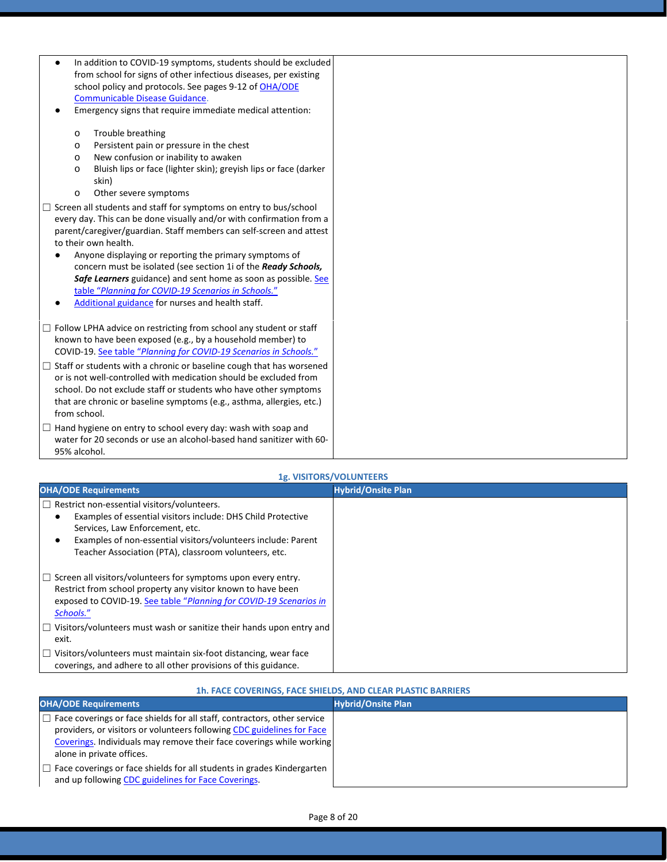| In addition to COVID-19 symptoms, students should be excluded               |
|-----------------------------------------------------------------------------|
| from school for signs of other infectious diseases, per existing            |
| school policy and protocols. See pages 9-12 of OHA/ODE                      |
| Communicable Disease Guidance.                                              |
| Emergency signs that require immediate medical attention:                   |
| Trouble breathing<br>$\circ$                                                |
| Persistent pain or pressure in the chest<br>$\circ$                         |
| New confusion or inability to awaken<br>$\circ$                             |
| Bluish lips or face (lighter skin); greyish lips or face (darker<br>$\circ$ |
| skin)                                                                       |
| Other severe symptoms<br>$\circ$                                            |
| Screen all students and staff for symptoms on entry to bus/school           |
| every day. This can be done visually and/or with confirmation from a        |
| parent/caregiver/guardian. Staff members can self-screen and attest         |
| to their own health.                                                        |
| Anyone displaying or reporting the primary symptoms of                      |
| concern must be isolated (see section 1i of the Ready Schools,              |
| Safe Learners guidance) and sent home as soon as possible. See              |
| table "Planning for COVID-19 Scenarios in Schools."                         |
| Additional guidance for nurses and health staff.                            |
|                                                                             |
| $\Box$ Follow LPHA advice on restricting from school any student or staff   |
| known to have been exposed (e.g., by a household member) to                 |
| COVID-19. See table "Planning for COVID-19 Scenarios in Schools."           |
| □ Staff or students with a chronic or baseline cough that has worsened      |
| or is not well-controlled with medication should be excluded from           |
| school. Do not exclude staff or students who have other symptoms            |
| that are chronic or baseline symptoms (e.g., asthma, allergies, etc.)       |
| from school.                                                                |
| Hand hygiene on entry to school every day: wash with soap and               |
| water for 20 seconds or use an alcohol-based hand sanitizer with 60-        |
| 95% alcohol.                                                                |

#### **1g. VISITORS/VOLUNTEERS**

| <b>OHA/ODE Requirements</b>                                                 | <b>Hybrid/Onsite Plan</b> |
|-----------------------------------------------------------------------------|---------------------------|
| $\Box$ Restrict non-essential visitors/volunteers.                          |                           |
| Examples of essential visitors include: DHS Child Protective                |                           |
| Services, Law Enforcement, etc.                                             |                           |
| Examples of non-essential visitors/volunteers include: Parent               |                           |
| Teacher Association (PTA), classroom volunteers, etc.                       |                           |
| $\Box$ Screen all visitors/volunteers for symptoms upon every entry.        |                           |
| Restrict from school property any visitor known to have been                |                           |
| exposed to COVID-19. See table "Planning for COVID-19 Scenarios in          |                           |
| Schools."                                                                   |                           |
| $\Box$ Visitors/volunteers must wash or sanitize their hands upon entry and |                           |
| exit.                                                                       |                           |
| Visitors/volunteers must maintain six-foot distancing, wear face            |                           |
| coverings, and adhere to all other provisions of this guidance.             |                           |

#### **1h. FACE COVERINGS, FACE SHIELDS, AND CLEAR PLASTIC BARRIERS**

| <b>OHA/ODE Requirements</b>                                                                                                                                                                                                       | <b>Hybrid/Onsite Plan</b> |
|-----------------------------------------------------------------------------------------------------------------------------------------------------------------------------------------------------------------------------------|---------------------------|
| $\Box$ Face coverings or face shields for all staff, contractors, other service<br>providers, or visitors or volunteers following CDC guidelines for Face<br>Coverings. Individuals may remove their face coverings while working |                           |
| alone in private offices.                                                                                                                                                                                                         |                           |
| $\Box$ Face coverings or face shields for all students in grades Kindergarten<br>and up following CDC guidelines for Face Coverings.                                                                                              |                           |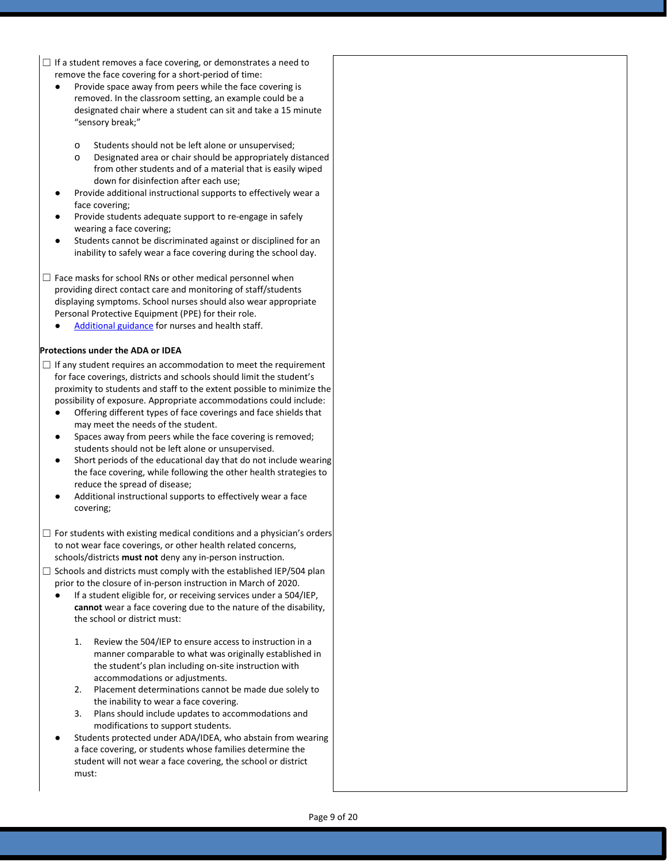- $\Box$  If a student removes a face covering, or demonstrates a need to remove the face covering for a short-period of time:
	- Provide space away from peers while the face covering is removed. In the classroom setting, an example could be a designated chair where a student can sit and take a 15 minute "sensory break;"
		- o Students should not be left alone or unsupervised;
		- Designated area or chair should be appropriately distanced from other students and of a material that is easily wiped down for disinfection after each use;
	- Provide additional instructional supports to effectively wear a face covering;
	- Provide students adequate support to re-engage in safely wearing a face covering;
	- Students cannot be discriminated against or disciplined for an inability to safely wear a face covering during the school day.
- $\Box$  Face masks for school RNs or other medical personnel when providing direct contact care and monitoring of staff/students displaying symptoms. School nurses should also wear appropriate Personal Protective Equipment (PPE) for their role.
	- [Additional guidance](https://www.oregon.gov/ode/students-and-family/healthsafety/Documents/Additional%20Considerations%20for%20Staff%20Working%20with%20Students%20with%20Complex%20Needs.pdf) for nurses and health staff.

#### **Protections under the ADA or IDEA**

- $\Box$  If any student requires an accommodation to meet the requirement for face coverings, districts and schools should limit the student's proximity to students and staff to the extent possible to minimize the possibility of exposure. Appropriate accommodations could include:
	- Offering different types of face coverings and face shields that may meet the needs of the student.
	- Spaces away from peers while the face covering is removed; students should not be left alone or unsupervised.
	- Short periods of the educational day that do not include wearing the face covering, while following the other health strategies to reduce the spread of disease;
	- Additional instructional supports to effectively wear a face covering;
- $\Box$  For students with existing medical conditions and a physician's orders to not wear face coverings, or other health related concerns, schools/districts **must not** deny any in-person instruction.
- $\Box$  Schools and districts must comply with the established IEP/504 plan prior to the closure of in-person instruction in March of 2020.
	- If a student eligible for, or receiving services under a 504/IEP, **cannot** wear a face covering due to the nature of the disability, the school or district must:
		- 1. Review the 504/IEP to ensure access to instruction in a manner comparable to what was originally established in the student's plan including on-site instruction with accommodations or adjustments.
		- 2. Placement determinations cannot be made due solely to the inability to wear a face covering.
		- 3. Plans should include updates to accommodations and modifications to support students.
	- Students protected under ADA/IDEA, who abstain from wearing a face covering, or students whose families determine the student will not wear a face covering, the school or district must: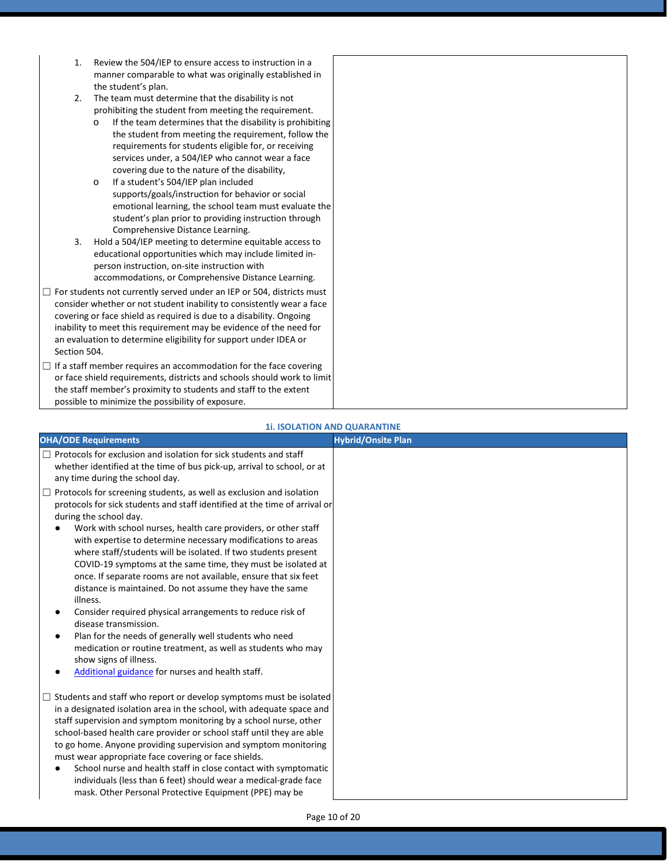- 1. Review the 504/IEP to ensure access to instruction in a manner comparable to what was originally established in the student's plan.
- 2. The team must determine that the disability is not prohibiting the student from meeting the requirement.
	- o If the team determines that the disability is prohibiting the student from meeting the requirement, follow the requirements for students eligible for, or receiving services under, a 504/IEP who cannot wear a face covering due to the nature of the disability,
	- o If a student's 504/IEP plan included supports/goals/instruction for behavior or social emotional learning, the school team must evaluate the student's plan prior to providing instruction through Comprehensive Distance Learning.
- 3. Hold a 504/IEP meeting to determine equitable access to educational opportunities which may include limited inperson instruction, on-site instruction with accommodations, or Comprehensive Distance Learning.
- $\Box$  For students not currently served under an IEP or 504, districts must consider whether or not student inability to consistently wear a face covering or face shield as required is due to a disability. Ongoing inability to meet this requirement may be evidence of the need for an evaluation to determine eligibility for support under IDEA or Section 504.
- □ If a staff member requires an accommodation for the face covering or face shield requirements, districts and schools should work to limit the staff member's proximity to students and staff to the extent possible to minimize the possibility of exposure.

#### **1i. ISOLATION AND QUARANTINE**

| <b>OHA/ODE Requirements</b>                                                                                                                                                                                                                                                                                                                                                                                                                                                                                                                                                                                                                                                                                                                                                                                                                                                                                     | <b>Hybrid/Onsite Plan</b> |
|-----------------------------------------------------------------------------------------------------------------------------------------------------------------------------------------------------------------------------------------------------------------------------------------------------------------------------------------------------------------------------------------------------------------------------------------------------------------------------------------------------------------------------------------------------------------------------------------------------------------------------------------------------------------------------------------------------------------------------------------------------------------------------------------------------------------------------------------------------------------------------------------------------------------|---------------------------|
| $\Box$ Protocols for exclusion and isolation for sick students and staff<br>whether identified at the time of bus pick-up, arrival to school, or at<br>any time during the school day.                                                                                                                                                                                                                                                                                                                                                                                                                                                                                                                                                                                                                                                                                                                          |                           |
| $\Box$ Protocols for screening students, as well as exclusion and isolation<br>protocols for sick students and staff identified at the time of arrival or<br>during the school day.<br>Work with school nurses, health care providers, or other staff<br>with expertise to determine necessary modifications to areas<br>where staff/students will be isolated. If two students present<br>COVID-19 symptoms at the same time, they must be isolated at<br>once. If separate rooms are not available, ensure that six feet<br>distance is maintained. Do not assume they have the same<br>illness.<br>Consider required physical arrangements to reduce risk of<br>٠<br>disease transmission.<br>Plan for the needs of generally well students who need<br>٠<br>medication or routine treatment, as well as students who may<br>show signs of illness.<br>Additional guidance for nurses and health staff.<br>٠ |                           |
| $\Box$ Students and staff who report or develop symptoms must be isolated<br>in a designated isolation area in the school, with adequate space and<br>staff supervision and symptom monitoring by a school nurse, other<br>school-based health care provider or school staff until they are able<br>to go home. Anyone providing supervision and symptom monitoring<br>must wear appropriate face covering or face shields.<br>School nurse and health staff in close contact with symptomatic<br>٠<br>individuals (less than 6 feet) should wear a medical-grade face<br>mask. Other Personal Protective Equipment (PPE) may be                                                                                                                                                                                                                                                                                |                           |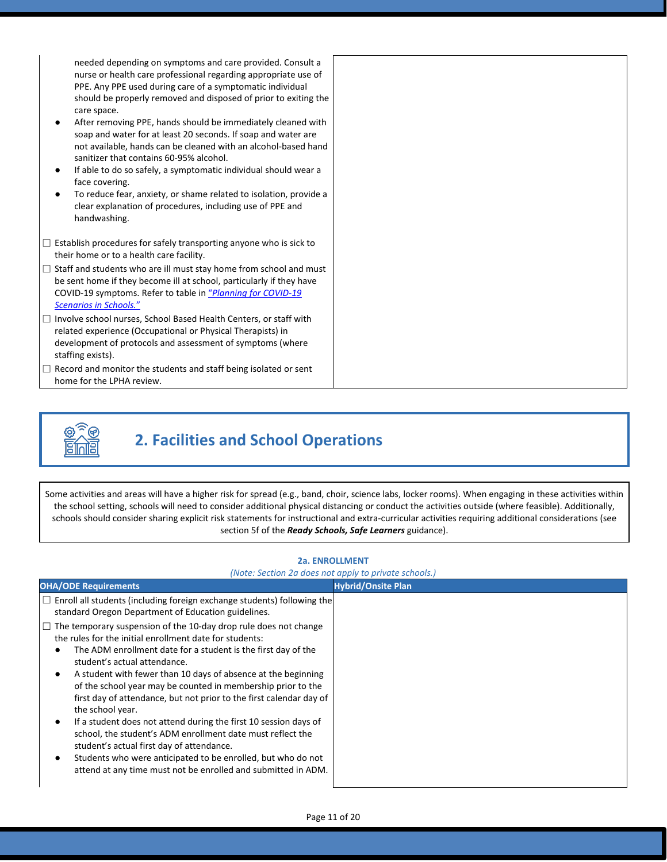needed depending on symptoms and care provided. Consult a nurse or health care professional regarding appropriate use of PPE. Any PPE used during care of a symptomatic individual should be properly removed and disposed of prior to exiting the care space.

- After removing PPE, hands should be immediately cleaned with soap and water for at least 20 seconds. If soap and water are not available, hands can be cleaned with an alcohol-based hand sanitizer that contains 60-95% alcohol.
- If able to do so safely, a symptomatic individual should wear a face covering.
- To reduce fear, anxiety, or shame related to isolation, provide a clear explanation of procedures, including use of PPE and handwashing.
- $\Box$  Establish procedures for safely transporting anyone who is sick to their home or to a health care facility.
- $\Box$  Staff and students who are ill must stay home from school and must be sent home if they become ill at school, particularly if they have COVID-19 symptoms. Refer to table in ["](https://www.oregon.gov/ode/students-and-family/healthsafety/Documents/Planning%20and%20Responding%20to%20COVID-19%20Scenarios%20in%20Schools%20August%202020.pdf)*[Planning for COVID-19](https://www.oregon.gov/ode/students-and-family/healthsafety/Documents/Planning%20and%20Responding%20to%20COVID-19%20Scenarios%20in%20Schools%20August%202020.pdf)  [Scenarios in Schools.](https://www.oregon.gov/ode/students-and-family/healthsafety/Documents/Planning%20and%20Responding%20to%20COVID-19%20Scenarios%20in%20Schools%20August%202020.pdf)*["](https://www.oregon.gov/ode/students-and-family/healthsafety/Documents/Planning%20and%20Responding%20to%20COVID-19%20Scenarios%20in%20Schools%20August%202020.pdf)
- □ Involve school nurses, School Based Health Centers, or staff with related experience (Occupational or Physical Therapists) in development of protocols and assessment of symptoms (where staffing exists).
- $\Box$  Record and monitor the students and staff being isolated or sent home for the LPHA review.



# **2. Facilities and School Operations**

Some activities and areas will have a higher risk for spread (e.g., band, choir, science labs, locker rooms). When engaging in these activities within the school setting, schools will need to consider additional physical distancing or conduct the activities outside (where feasible). Additionally, schools should consider sharing explicit risk statements for instructional and extra-curricular activities requiring additional considerations (see section 5f of the *Ready Schools, Safe Learners* guidance).

| <b>2a. ENROLLMENT</b>                                                                                                                                                                                                                                                                                                                                                                                                                                                                                                                                                                                                                                                                                                                                                                                                                                                                                                    | (Note: Section 2a does not apply to private schools.) |
|--------------------------------------------------------------------------------------------------------------------------------------------------------------------------------------------------------------------------------------------------------------------------------------------------------------------------------------------------------------------------------------------------------------------------------------------------------------------------------------------------------------------------------------------------------------------------------------------------------------------------------------------------------------------------------------------------------------------------------------------------------------------------------------------------------------------------------------------------------------------------------------------------------------------------|-------------------------------------------------------|
| <b>OHA/ODE Requirements</b>                                                                                                                                                                                                                                                                                                                                                                                                                                                                                                                                                                                                                                                                                                                                                                                                                                                                                              | <b>Hybrid/Onsite Plan</b>                             |
| $\Box$ Enroll all students (including foreign exchange students) following the<br>standard Oregon Department of Education guidelines.<br>$\Box$ The temporary suspension of the 10-day drop rule does not change<br>the rules for the initial enrollment date for students:<br>The ADM enrollment date for a student is the first day of the<br>student's actual attendance.<br>A student with fewer than 10 days of absence at the beginning<br>of the school year may be counted in membership prior to the<br>first day of attendance, but not prior to the first calendar day of<br>the school year.<br>If a student does not attend during the first 10 session days of<br>school, the student's ADM enrollment date must reflect the<br>student's actual first day of attendance.<br>Students who were anticipated to be enrolled, but who do not<br>attend at any time must not be enrolled and submitted in ADM. |                                                       |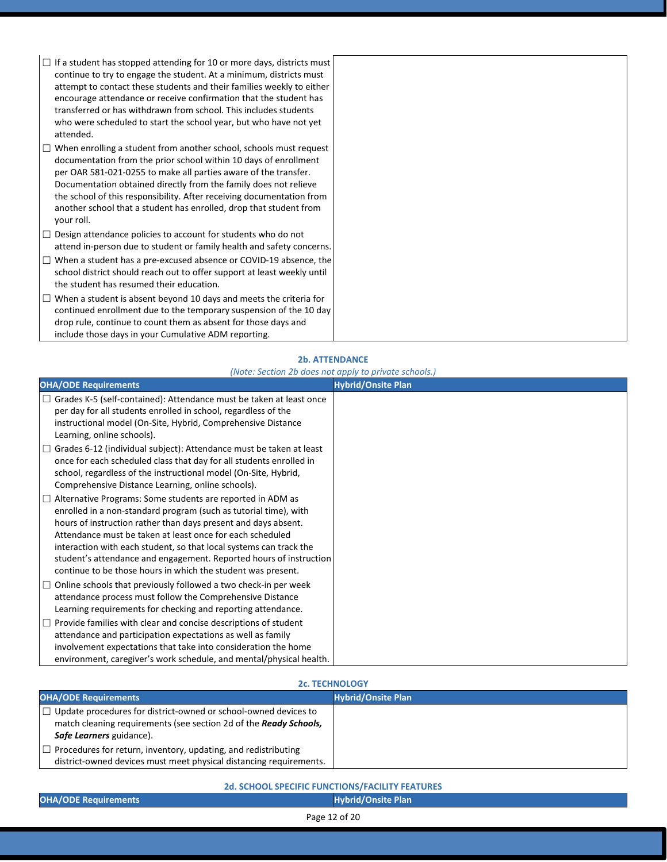| $\Box$ If a student has stopped attending for 10 or more days, districts must<br>continue to try to engage the student. At a minimum, districts must<br>attempt to contact these students and their families weekly to either<br>encourage attendance or receive confirmation that the student has<br>transferred or has withdrawn from school. This includes students<br>who were scheduled to start the school year, but who have not yet<br>attended. |  |
|----------------------------------------------------------------------------------------------------------------------------------------------------------------------------------------------------------------------------------------------------------------------------------------------------------------------------------------------------------------------------------------------------------------------------------------------------------|--|
| $\Box$ When enrolling a student from another school, schools must request<br>documentation from the prior school within 10 days of enrollment<br>per OAR 581-021-0255 to make all parties aware of the transfer.<br>Documentation obtained directly from the family does not relieve<br>the school of this responsibility. After receiving documentation from<br>another school that a student has enrolled, drop that student from<br>your roll.        |  |
| $\Box$ Design attendance policies to account for students who do not<br>attend in-person due to student or family health and safety concerns.                                                                                                                                                                                                                                                                                                            |  |
| $\Box$ When a student has a pre-excused absence or COVID-19 absence, the<br>school district should reach out to offer support at least weekly until<br>the student has resumed their education.                                                                                                                                                                                                                                                          |  |
| $\Box$ When a student is absent beyond 10 days and meets the criteria for<br>continued enrollment due to the temporary suspension of the 10 day<br>drop rule, continue to count them as absent for those days and<br>include those days in your Cumulative ADM reporting.                                                                                                                                                                                |  |

#### **2b. ATTENDANCE**

#### *(Note: Section 2b does not apply to private schools.)*

| <b>OHA/ODE Requirements</b>                                                                                                                                                                                                                                                                                                                                                                                                                                                      | <b>Hybrid/Onsite Plan</b> |
|----------------------------------------------------------------------------------------------------------------------------------------------------------------------------------------------------------------------------------------------------------------------------------------------------------------------------------------------------------------------------------------------------------------------------------------------------------------------------------|---------------------------|
| $\Box$ Grades K-5 (self-contained): Attendance must be taken at least once<br>per day for all students enrolled in school, regardless of the<br>instructional model (On-Site, Hybrid, Comprehensive Distance<br>Learning, online schools).                                                                                                                                                                                                                                       |                           |
| $\Box$ Grades 6-12 (individual subject): Attendance must be taken at least<br>once for each scheduled class that day for all students enrolled in<br>school, regardless of the instructional model (On-Site, Hybrid,<br>Comprehensive Distance Learning, online schools).                                                                                                                                                                                                        |                           |
| $\Box$ Alternative Programs: Some students are reported in ADM as<br>enrolled in a non-standard program (such as tutorial time), with<br>hours of instruction rather than days present and days absent.<br>Attendance must be taken at least once for each scheduled<br>interaction with each student, so that local systems can track the<br>student's attendance and engagement. Reported hours of instruction<br>continue to be those hours in which the student was present. |                           |
| $\Box$ Online schools that previously followed a two check-in per week<br>attendance process must follow the Comprehensive Distance<br>Learning requirements for checking and reporting attendance.                                                                                                                                                                                                                                                                              |                           |
| $\Box$ Provide families with clear and concise descriptions of student<br>attendance and participation expectations as well as family<br>involvement expectations that take into consideration the home<br>environment, caregiver's work schedule, and mental/physical health.                                                                                                                                                                                                   |                           |

#### **2c. TECHNOLOGY**

| <b>OHA/ODE Requirements</b>                                               | <b>Hybrid/Onsite Plan</b> |
|---------------------------------------------------------------------------|---------------------------|
| $\Box$ Update procedures for district-owned or school-owned devices to    |                           |
| match cleaning requirements (see section 2d of the <b>Ready Schools</b> , |                           |
| Safe Learners guidance).                                                  |                           |
| $\Box$ Procedures for return, inventory, updating, and redistributing     |                           |
| district-owned devices must meet physical distancing requirements.        |                           |

### **2d. SCHOOL SPECIFIC FUNCTIONS/FACILITY FEATURES OHA/ODE Requirements Hybrid/Onsite Plan**

Page 12 of 20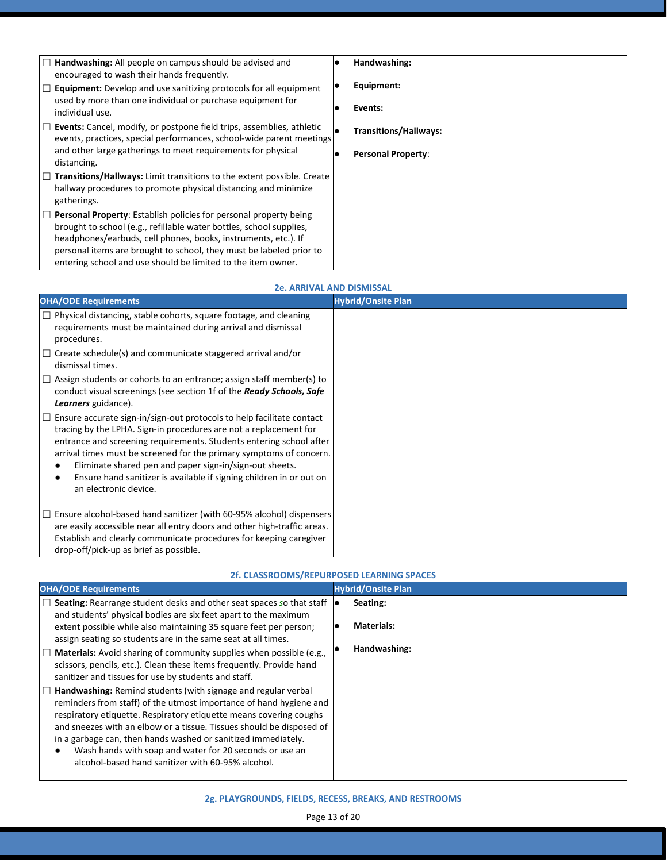| $\Box$ Handwashing: All people on campus should be advised and<br>encouraged to wash their hands frequently.                                                   | Handwashing:                 |
|----------------------------------------------------------------------------------------------------------------------------------------------------------------|------------------------------|
| $\Box$ <b>Equipment:</b> Develop and use sanitizing protocols for all equipment<br>used by more than one individual or purchase equipment for                  | Equipment:                   |
| individual use.                                                                                                                                                | Events:                      |
| $\Box$ Events: Cancel, modify, or postpone field trips, assemblies, athletic<br>events, practices, special performances, school-wide parent meetings           | <b>Transitions/Hallways:</b> |
| and other large gatherings to meet requirements for physical<br>distancing.                                                                                    | <b>Personal Property:</b>    |
| $\Box$ Transitions/Hallways: Limit transitions to the extent possible. Create<br>hallway procedures to promote physical distancing and minimize<br>gatherings. |                              |
| $\Box$ Personal Property: Establish policies for personal property being<br>brought to school (e.g., refillable water bottles, school supplies,                |                              |
| headphones/earbuds, cell phones, books, instruments, etc.). If<br>personal items are brought to school, they must be labeled prior to                          |                              |
| entering school and use should be limited to the item owner.                                                                                                   |                              |

| <b>OHA/ODE Requirements</b>                                                                                                                                                                                                                                                                                                                                                                                                                                | <b>Hybrid/Onsite Plan</b> |
|------------------------------------------------------------------------------------------------------------------------------------------------------------------------------------------------------------------------------------------------------------------------------------------------------------------------------------------------------------------------------------------------------------------------------------------------------------|---------------------------|
| $\Box$ Physical distancing, stable cohorts, square footage, and cleaning<br>requirements must be maintained during arrival and dismissal<br>procedures.                                                                                                                                                                                                                                                                                                    |                           |
| $\Box$ Create schedule(s) and communicate staggered arrival and/or<br>dismissal times.                                                                                                                                                                                                                                                                                                                                                                     |                           |
| $\Box$ Assign students or cohorts to an entrance; assign staff member(s) to<br>conduct visual screenings (see section 1f of the Ready Schools, Safe<br>Learners guidance).                                                                                                                                                                                                                                                                                 |                           |
| $\Box$ Ensure accurate sign-in/sign-out protocols to help facilitate contact<br>tracing by the LPHA. Sign-in procedures are not a replacement for<br>entrance and screening requirements. Students entering school after<br>arrival times must be screened for the primary symptoms of concern.<br>Eliminate shared pen and paper sign-in/sign-out sheets.<br>Ensure hand sanitizer is available if signing children in or out on<br>an electronic device. |                           |
| Ensure alcohol-based hand sanitizer (with 60-95% alcohol) dispensers<br>$\perp$<br>are easily accessible near all entry doors and other high-traffic areas.<br>Establish and clearly communicate procedures for keeping caregiver<br>drop-off/pick-up as brief as possible.                                                                                                                                                                                |                           |

| 2f. CLASSROOMS/REPURPOSED LEARNING SPACES                                                                                                                                                                                                                                                                                                                                                                                                                                 |                               |
|---------------------------------------------------------------------------------------------------------------------------------------------------------------------------------------------------------------------------------------------------------------------------------------------------------------------------------------------------------------------------------------------------------------------------------------------------------------------------|-------------------------------|
| <b>OHA/ODE Requirements</b>                                                                                                                                                                                                                                                                                                                                                                                                                                               | <b>Hybrid/Onsite Plan</b>     |
| $\Box$ Seating: Rearrange student desks and other seat spaces so that staff $\vert \bullet \vert$<br>and students' physical bodies are six feet apart to the maximum                                                                                                                                                                                                                                                                                                      | Seating:<br><b>Materials:</b> |
| extent possible while also maintaining 35 square feet per person;<br>assign seating so students are in the same seat at all times.                                                                                                                                                                                                                                                                                                                                        |                               |
| $\Box$ Materials: Avoid sharing of community supplies when possible (e.g.,<br>scissors, pencils, etc.). Clean these items frequently. Provide hand<br>sanitizer and tissues for use by students and staff.                                                                                                                                                                                                                                                                | Handwashing:                  |
| $\Box$ Handwashing: Remind students (with signage and regular verbal<br>reminders from staff) of the utmost importance of hand hygiene and<br>respiratory etiquette. Respiratory etiquette means covering coughs<br>and sneezes with an elbow or a tissue. Tissues should be disposed of<br>in a garbage can, then hands washed or sanitized immediately.<br>Wash hands with soap and water for 20 seconds or use an<br>alcohol-based hand sanitizer with 60-95% alcohol. |                               |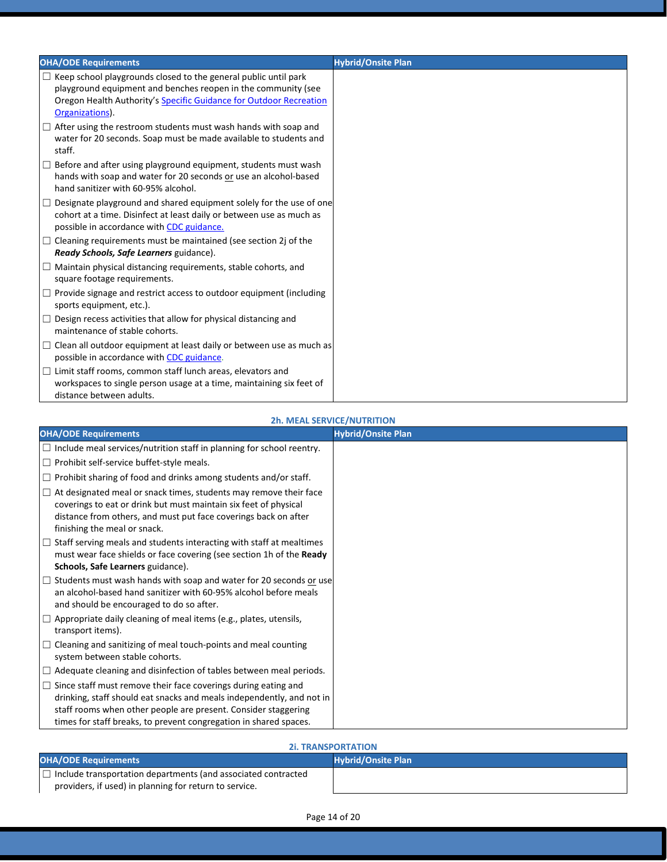| <b>OHA/ODE Requirements</b>                                                                                                                                                                                                      | <b>Hybrid/Onsite Plan</b> |
|----------------------------------------------------------------------------------------------------------------------------------------------------------------------------------------------------------------------------------|---------------------------|
| $\Box$ Keep school playgrounds closed to the general public until park<br>playground equipment and benches reopen in the community (see<br>Oregon Health Authority's Specific Guidance for Outdoor Recreation<br>Organizations). |                           |
| $\Box$ After using the restroom students must wash hands with soap and<br>water for 20 seconds. Soap must be made available to students and<br>staff.                                                                            |                           |
| $\Box$ Before and after using playground equipment, students must wash<br>hands with soap and water for 20 seconds or use an alcohol-based<br>hand sanitizer with 60-95% alcohol.                                                |                           |
| $\Box$ Designate playground and shared equipment solely for the use of one<br>cohort at a time. Disinfect at least daily or between use as much as<br>possible in accordance with CDC guidance.                                  |                           |
| $\Box$ Cleaning requirements must be maintained (see section 2j of the<br>Ready Schools, Safe Learners guidance).                                                                                                                |                           |
| $\Box$ Maintain physical distancing requirements, stable cohorts, and<br>square footage requirements.                                                                                                                            |                           |
| $\Box$ Provide signage and restrict access to outdoor equipment (including<br>sports equipment, etc.).                                                                                                                           |                           |
| $\Box$ Design recess activities that allow for physical distancing and<br>maintenance of stable cohorts.                                                                                                                         |                           |
| $\Box$ Clean all outdoor equipment at least daily or between use as much as<br>possible in accordance with CDC guidance.                                                                                                         |                           |
| $\Box$ Limit staff rooms, common staff lunch areas, elevators and<br>workspaces to single person usage at a time, maintaining six feet of<br>distance between adults.                                                            |                           |

#### **2h. MEAL SERVICE/NUTRITION**

| <b>OHA/ODE Requirements</b>                                                                                                                                                                                                                                                           | <b>Hybrid/Onsite Plan</b> |
|---------------------------------------------------------------------------------------------------------------------------------------------------------------------------------------------------------------------------------------------------------------------------------------|---------------------------|
| $\Box$ Include meal services/nutrition staff in planning for school reentry.                                                                                                                                                                                                          |                           |
| $\Box$ Prohibit self-service buffet-style meals.                                                                                                                                                                                                                                      |                           |
| $\Box$ Prohibit sharing of food and drinks among students and/or staff.                                                                                                                                                                                                               |                           |
| $\Box$ At designated meal or snack times, students may remove their face<br>coverings to eat or drink but must maintain six feet of physical<br>distance from others, and must put face coverings back on after<br>finishing the meal or snack.                                       |                           |
| $\Box$ Staff serving meals and students interacting with staff at mealtimes<br>must wear face shields or face covering (see section 1h of the Ready<br>Schools, Safe Learners guidance).                                                                                              |                           |
| □ Students must wash hands with soap and water for 20 seconds or use<br>an alcohol-based hand sanitizer with 60-95% alcohol before meals<br>and should be encouraged to do so after.                                                                                                  |                           |
| $\Box$ Appropriate daily cleaning of meal items (e.g., plates, utensils,<br>transport items).                                                                                                                                                                                         |                           |
| $\Box$ Cleaning and sanitizing of meal touch-points and meal counting<br>system between stable cohorts.                                                                                                                                                                               |                           |
| $\Box$ Adequate cleaning and disinfection of tables between meal periods.                                                                                                                                                                                                             |                           |
| $\Box$ Since staff must remove their face coverings during eating and<br>drinking, staff should eat snacks and meals independently, and not in<br>staff rooms when other people are present. Consider staggering<br>times for staff breaks, to prevent congregation in shared spaces. |                           |

#### **2i. TRANSPORTATION**

| <b>OHA/ODE Requirements</b>                                                                                                    | <b>Hybrid/Onsite Plan</b> |
|--------------------------------------------------------------------------------------------------------------------------------|---------------------------|
| $\Box$ Include transportation departments (and associated contracted<br>providers, if used) in planning for return to service. |                           |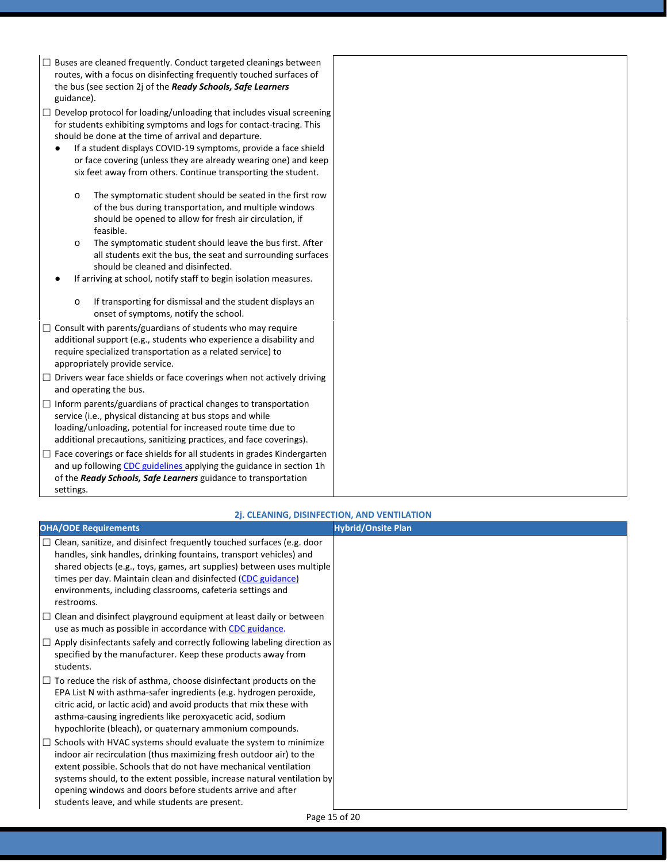- $\Box$  Buses are cleaned frequently. Conduct targeted cleanings between routes, with a focus on disinfecting frequently touched surfaces of the bus (see section 2j of the *Ready Schools, Safe Learners* guidance).
- $\Box$  Develop protocol for loading/unloading that includes visual screening for students exhibiting symptoms and logs for contact-tracing. This should be done at the time of arrival and departure.
	- If a student displays COVID-19 symptoms, provide a face shield or face covering (unless they are already wearing one) and keep six feet away from others. Continue transporting the student.
		- o The symptomatic student should be seated in the first row of the bus during transportation, and multiple windows should be opened to allow for fresh air circulation, if feasible.
		- o The symptomatic student should leave the bus first. After all students exit the bus, the seat and surrounding surfaces should be cleaned and disinfected.
	- If arriving at school, notify staff to begin isolation measures.
		- o If transporting for dismissal and the student displays an onset of symptoms, notify the school.
- $\Box$  Consult with parents/guardians of students who may require additional support (e.g., students who experience a disability and require specialized transportation as a related service) to appropriately provide service.
- □ Drivers wear face shields or face coverings when not actively driving and operating the bus.
- $\Box$  Inform parents/guardians of practical changes to transportation service (i.e., physical distancing at bus stops and while loading/unloading, potential for increased route time due to additional precautions, sanitizing practices, and face coverings).
- $\Box$  Face coverings or face shields for all students in grades Kindergarten and up followin[g CDC guidelines a](https://www.cdc.gov/coronavirus/2019-ncov/prevent-getting-sick/diy-cloth-face-coverings.html)pplying the guidance in section 1h of the *Ready Schools, Safe Learners* guidance to transportation settings.

#### **2j. CLEANING, DISINFECTION, AND VENTILATION**

| <b>OHA/ODE Requirements</b>                                                                                                                                                                                                                                                                                                                                                                             | <b>Hybrid/Onsite Plan</b> |
|---------------------------------------------------------------------------------------------------------------------------------------------------------------------------------------------------------------------------------------------------------------------------------------------------------------------------------------------------------------------------------------------------------|---------------------------|
| $\Box$ Clean, sanitize, and disinfect frequently touched surfaces (e.g. door<br>handles, sink handles, drinking fountains, transport vehicles) and<br>shared objects (e.g., toys, games, art supplies) between uses multiple<br>times per day. Maintain clean and disinfected (CDC guidance)<br>environments, including classrooms, cafeteria settings and<br>restrooms.                                |                           |
| $\Box$ Clean and disinfect playground equipment at least daily or between<br>use as much as possible in accordance with CDC guidance.                                                                                                                                                                                                                                                                   |                           |
| $\Box$ Apply disinfectants safely and correctly following labeling direction as<br>specified by the manufacturer. Keep these products away from<br>students.                                                                                                                                                                                                                                            |                           |
| $\Box$ To reduce the risk of asthma, choose disinfectant products on the<br>EPA List N with asthma-safer ingredients (e.g. hydrogen peroxide,<br>citric acid, or lactic acid) and avoid products that mix these with<br>asthma-causing ingredients like peroxyacetic acid, sodium<br>hypochlorite (bleach), or quaternary ammonium compounds.                                                           |                           |
| Schools with HVAC systems should evaluate the system to minimize<br>indoor air recirculation (thus maximizing fresh outdoor air) to the<br>extent possible. Schools that do not have mechanical ventilation<br>systems should, to the extent possible, increase natural ventilation by<br>opening windows and doors before students arrive and after<br>students leave, and while students are present. |                           |
| $D = -4E - 620$                                                                                                                                                                                                                                                                                                                                                                                         |                           |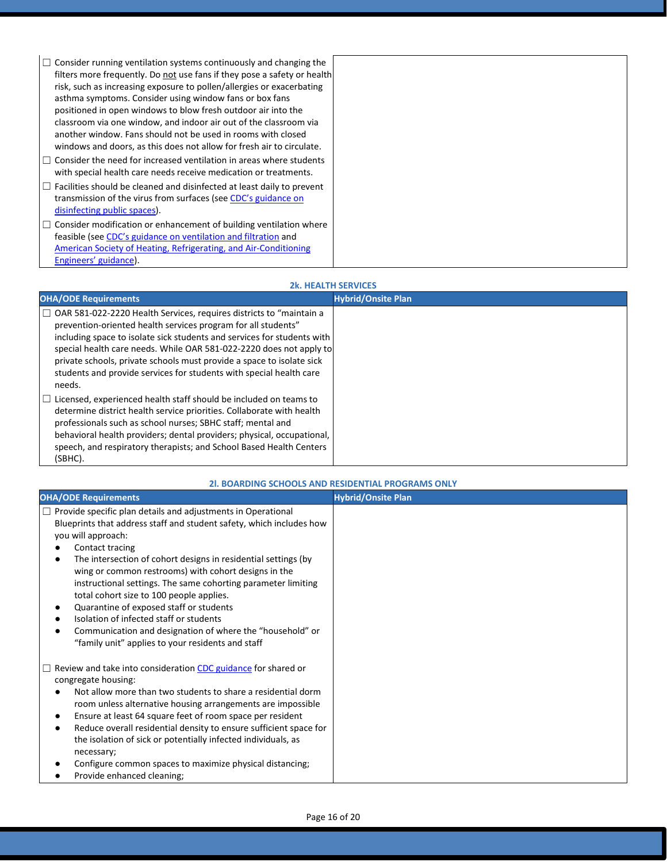| $\Box$ Consider running ventilation systems continuously and changing the<br>filters more frequently. Do not use fans if they pose a safety or health<br>risk, such as increasing exposure to pollen/allergies or exacerbating<br>asthma symptoms. Consider using window fans or box fans<br>positioned in open windows to blow fresh outdoor air into the<br>classroom via one window, and indoor air out of the classroom via<br>another window. Fans should not be used in rooms with closed<br>windows and doors, as this does not allow for fresh air to circulate. |  |
|--------------------------------------------------------------------------------------------------------------------------------------------------------------------------------------------------------------------------------------------------------------------------------------------------------------------------------------------------------------------------------------------------------------------------------------------------------------------------------------------------------------------------------------------------------------------------|--|
| $\Box$ Consider the need for increased ventilation in areas where students<br>with special health care needs receive medication or treatments.                                                                                                                                                                                                                                                                                                                                                                                                                           |  |
| $\Box$ Facilities should be cleaned and disinfected at least daily to prevent<br>transmission of the virus from surfaces (see CDC's guidance on<br>disinfecting public spaces).                                                                                                                                                                                                                                                                                                                                                                                          |  |
| $\Box$ Consider modification or enhancement of building ventilation where<br>feasible (see CDC's guidance on ventilation and filtration and<br>American Society of Heating, Refrigerating, and Air-Conditioning<br>Engineers' guidance).                                                                                                                                                                                                                                                                                                                                 |  |

#### **2k. HEALTH SERVICES**

| <b>OHA/ODE Requirements</b>                                                                                                                                                                                                                                                                                                                                                                                                                        | <b>Hybrid/Onsite Plan</b> |
|----------------------------------------------------------------------------------------------------------------------------------------------------------------------------------------------------------------------------------------------------------------------------------------------------------------------------------------------------------------------------------------------------------------------------------------------------|---------------------------|
| □ OAR 581-022-2220 Health Services, requires districts to "maintain a<br>prevention-oriented health services program for all students"<br>including space to isolate sick students and services for students with<br>special health care needs. While OAR 581-022-2220 does not apply to<br>private schools, private schools must provide a space to isolate sick<br>students and provide services for students with special health care<br>needs. |                           |
| $\Box$ Licensed, experienced health staff should be included on teams to<br>determine district health service priorities. Collaborate with health<br>professionals such as school nurses; SBHC staff; mental and<br>behavioral health providers; dental providers; physical, occupational,<br>speech, and respiratory therapists; and School Based Health Centers<br>(SBHC).                                                                       |                           |

#### **2l. BOARDING SCHOOLS AND RESIDENTIAL PROGRAMS ONLY**

| <b>OHA/ODE Requirements</b>                                                                                                                                                                                                                                                                                                                                                                                                                                                                                                                                                                                                  | <b>Hybrid/Onsite Plan</b> |
|------------------------------------------------------------------------------------------------------------------------------------------------------------------------------------------------------------------------------------------------------------------------------------------------------------------------------------------------------------------------------------------------------------------------------------------------------------------------------------------------------------------------------------------------------------------------------------------------------------------------------|---------------------------|
| Provide specific plan details and adjustments in Operational<br>Blueprints that address staff and student safety, which includes how<br>you will approach:<br>Contact tracing<br>The intersection of cohort designs in residential settings (by<br>wing or common restrooms) with cohort designs in the<br>instructional settings. The same cohorting parameter limiting<br>total cohort size to 100 people applies.<br>Quarantine of exposed staff or students<br>Isolation of infected staff or students<br>Communication and designation of where the "household" or<br>"family unit" applies to your residents and staff |                           |
| Review and take into consideration CDC guidance for shared or<br>congregate housing:<br>Not allow more than two students to share a residential dorm<br>room unless alternative housing arrangements are impossible<br>Ensure at least 64 square feet of room space per resident<br>Reduce overall residential density to ensure sufficient space for<br>the isolation of sick or potentially infected individuals, as<br>necessary;<br>Configure common spaces to maximize physical distancing;<br>Provide enhanced cleaning;                                                                                               |                           |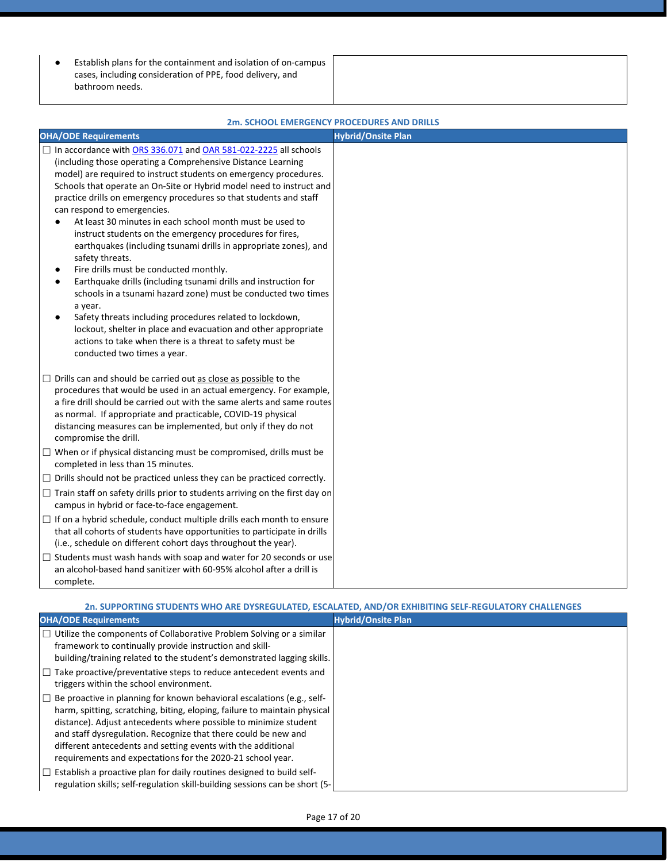● Establish plans for the containment and isolation of on-campus cases, including consideration of PPE, food delivery, and bathroom needs.

|                                                                                                                                                                                                                                                                                                                                                                                                                                                                                                                                                                                                                                                                                                                                                                                                                                                                                                                                                                                                                                     | ZM. SCHOOL EMERGENCY PROCEDURES AND DRILLS |
|-------------------------------------------------------------------------------------------------------------------------------------------------------------------------------------------------------------------------------------------------------------------------------------------------------------------------------------------------------------------------------------------------------------------------------------------------------------------------------------------------------------------------------------------------------------------------------------------------------------------------------------------------------------------------------------------------------------------------------------------------------------------------------------------------------------------------------------------------------------------------------------------------------------------------------------------------------------------------------------------------------------------------------------|--------------------------------------------|
| <b>OHA/ODE Requirements</b>                                                                                                                                                                                                                                                                                                                                                                                                                                                                                                                                                                                                                                                                                                                                                                                                                                                                                                                                                                                                         | <b>Hybrid/Onsite Plan</b>                  |
| □ In accordance with ORS 336.071 and OAR 581-022-2225 all schools<br>(including those operating a Comprehensive Distance Learning<br>model) are required to instruct students on emergency procedures.<br>Schools that operate an On-Site or Hybrid model need to instruct and<br>practice drills on emergency procedures so that students and staff<br>can respond to emergencies.<br>At least 30 minutes in each school month must be used to<br>instruct students on the emergency procedures for fires,<br>earthquakes (including tsunami drills in appropriate zones), and<br>safety threats.<br>Fire drills must be conducted monthly.<br>٠<br>Earthquake drills (including tsunami drills and instruction for<br>٠<br>schools in a tsunami hazard zone) must be conducted two times<br>a year.<br>Safety threats including procedures related to lockdown,<br>٠<br>lockout, shelter in place and evacuation and other appropriate<br>actions to take when there is a threat to safety must be<br>conducted two times a year. |                                            |
| $\Box$ Drills can and should be carried out as close as possible to the<br>procedures that would be used in an actual emergency. For example,<br>a fire drill should be carried out with the same alerts and same routes<br>as normal. If appropriate and practicable, COVID-19 physical<br>distancing measures can be implemented, but only if they do not<br>compromise the drill.                                                                                                                                                                                                                                                                                                                                                                                                                                                                                                                                                                                                                                                |                                            |
| $\Box$ When or if physical distancing must be compromised, drills must be<br>completed in less than 15 minutes.                                                                                                                                                                                                                                                                                                                                                                                                                                                                                                                                                                                                                                                                                                                                                                                                                                                                                                                     |                                            |
| $\Box$ Drills should not be practiced unless they can be practiced correctly.                                                                                                                                                                                                                                                                                                                                                                                                                                                                                                                                                                                                                                                                                                                                                                                                                                                                                                                                                       |                                            |
| $\Box$ Train staff on safety drills prior to students arriving on the first day on<br>campus in hybrid or face-to-face engagement.                                                                                                                                                                                                                                                                                                                                                                                                                                                                                                                                                                                                                                                                                                                                                                                                                                                                                                  |                                            |
| $\Box$ If on a hybrid schedule, conduct multiple drills each month to ensure<br>that all cohorts of students have opportunities to participate in drills<br>(i.e., schedule on different cohort days throughout the year).                                                                                                                                                                                                                                                                                                                                                                                                                                                                                                                                                                                                                                                                                                                                                                                                          |                                            |
| $\Box$ Students must wash hands with soap and water for 20 seconds or use<br>an alcohol-based hand sanitizer with 60-95% alcohol after a drill is<br>complete.                                                                                                                                                                                                                                                                                                                                                                                                                                                                                                                                                                                                                                                                                                                                                                                                                                                                      |                                            |

#### **ZDCENICY PROCEDURES AND DRULLS**

#### **2n. SUPPORTING STUDENTS WHO ARE DYSREGULATED, ESCALATED, AND/OR EXHIBITING SELF-REGULATORY CHALLENGES**

| <b>OHA/ODE Requirements</b>                                                                                                                                                                                                                                                                                                                                                                                                    | <b>Hybrid/Onsite Plan</b> |
|--------------------------------------------------------------------------------------------------------------------------------------------------------------------------------------------------------------------------------------------------------------------------------------------------------------------------------------------------------------------------------------------------------------------------------|---------------------------|
| $\Box$ Utilize the components of Collaborative Problem Solving or a similar<br>framework to continually provide instruction and skill-<br>building/training related to the student's demonstrated lagging skills.                                                                                                                                                                                                              |                           |
| $\Box$ Take proactive/preventative steps to reduce antecedent events and<br>triggers within the school environment.                                                                                                                                                                                                                                                                                                            |                           |
| $\Box$ Be proactive in planning for known behavioral escalations (e.g., self-<br>harm, spitting, scratching, biting, eloping, failure to maintain physical<br>distance). Adjust antecedents where possible to minimize student<br>and staff dysregulation. Recognize that there could be new and<br>different antecedents and setting events with the additional<br>requirements and expectations for the 2020-21 school year. |                           |
| $\Box$ Establish a proactive plan for daily routines designed to build self-<br>regulation skills; self-regulation skill-building sessions can be short (5-                                                                                                                                                                                                                                                                    |                           |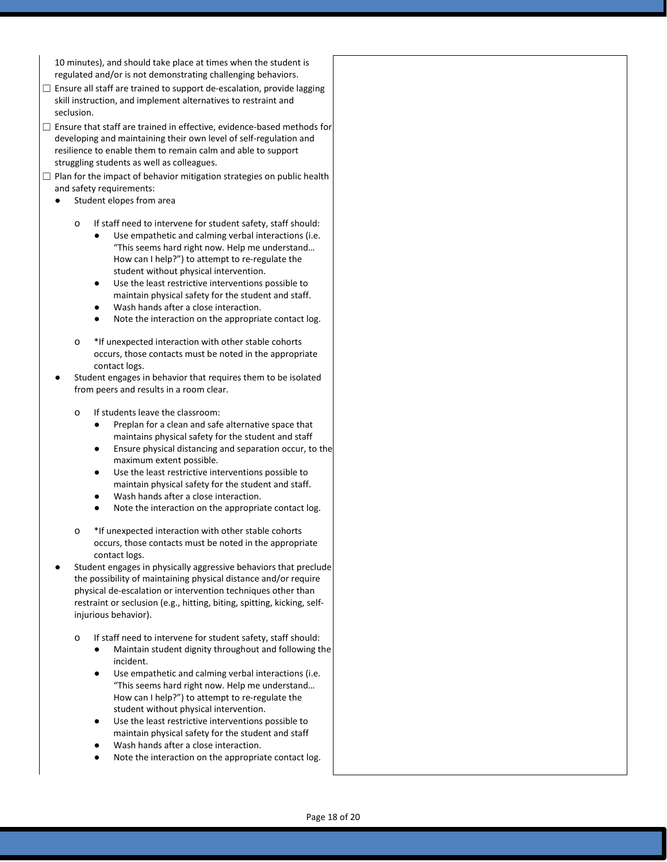10 minutes), and should take place at times when the student is regulated and/or is not demonstrating challenging behaviors.

- $\Box$  Ensure all staff are trained to support de-escalation, provide lagging skill instruction, and implement alternatives to restraint and seclusion.
- □ Ensure that staff are trained in effective, evidence-based methods for developing and maintaining their own level of self-regulation and resilience to enable them to remain calm and able to support struggling students as well as colleagues.
- ☐ Plan for the impact of behavior mitigation strategies on public health and safety requirements:
	- Student elopes from area
		- If staff need to intervene for student safety, staff should:
			- Use empathetic and calming verbal interactions (i.e. "This seems hard right now. Help me understand… How can I help?") to attempt to re-regulate the student without physical intervention.
			- Use the least restrictive interventions possible to maintain physical safety for the student and staff.
			- Wash hands after a close interaction.
			- Note the interaction on the appropriate contact log.
		- o \*If unexpected interaction with other stable cohorts occurs, those contacts must be noted in the appropriate contact logs.
	- Student engages in behavior that requires them to be isolated from peers and results in a room clear.
		- If students leave the classroom:
			- Preplan for a clean and safe alternative space that maintains physical safety for the student and staff
			- Ensure physical distancing and separation occur, to the maximum extent possible.
			- Use the least restrictive interventions possible to maintain physical safety for the student and staff.
			- Wash hands after a close interaction.
			- Note the interaction on the appropriate contact log.
		- o \*If unexpected interaction with other stable cohorts occurs, those contacts must be noted in the appropriate contact logs.
	- Student engages in physically aggressive behaviors that preclude the possibility of maintaining physical distance and/or require physical de-escalation or intervention techniques other than restraint or seclusion (e.g., hitting, biting, spitting, kicking, selfinjurious behavior).
		- If staff need to intervene for student safety, staff should:
			- Maintain student dignity throughout and following the incident.
			- Use empathetic and calming verbal interactions (i.e. "This seems hard right now. Help me understand… How can I help?") to attempt to re-regulate the student without physical intervention.
			- Use the least restrictive interventions possible to maintain physical safety for the student and staff
			- Wash hands after a close interaction.
			- Note the interaction on the appropriate contact log.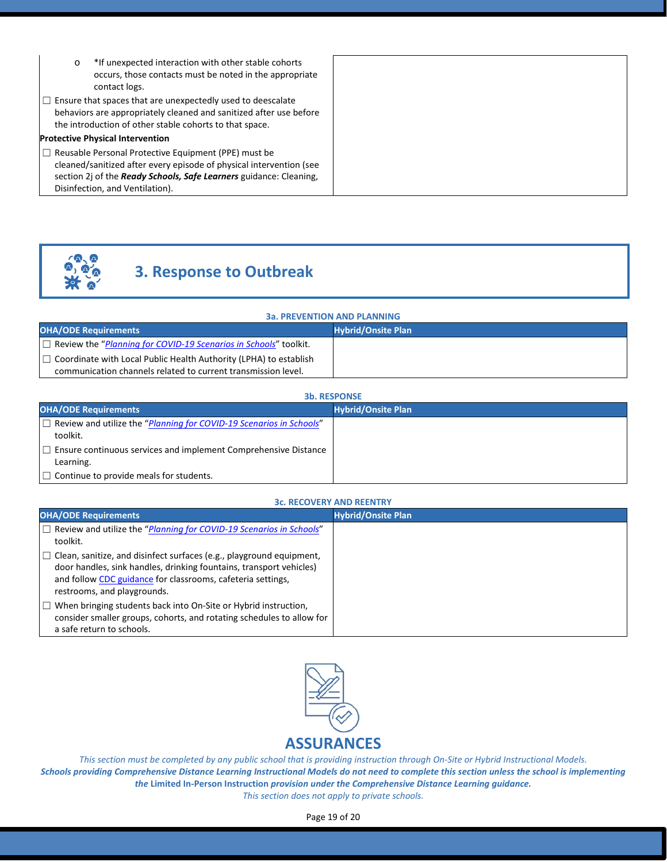| $\circ$ | *If unexpected interaction with other stable cohorts<br>occurs, those contacts must be noted in the appropriate<br>contact logs.                                                                                                            |
|---------|---------------------------------------------------------------------------------------------------------------------------------------------------------------------------------------------------------------------------------------------|
|         | $\Box$ Ensure that spaces that are unexpectedly used to deescalate<br>behaviors are appropriately cleaned and sanitized after use before<br>the introduction of other stable cohorts to that space.                                         |
|         | <b>Protective Physical Intervention</b>                                                                                                                                                                                                     |
|         | $\Box$ Reusable Personal Protective Equipment (PPE) must be<br>cleaned/sanitized after every episode of physical intervention (see<br>section 2j of the Ready Schools, Safe Learners guidance: Cleaning,<br>Disinfection, and Ventilation). |

# **3. Response to Outbreak**

#### **3a. PREVENTION AND PLANNING**

| <b>OHA/ODE Requirements</b>                                              | <b>Hybrid/Onsite Plan</b> |
|--------------------------------------------------------------------------|---------------------------|
| □ Review the "Planning for COVID-19 Scenarios in Schools" toolkit.       |                           |
| $\Box$ Coordinate with Local Public Health Authority (LPHA) to establish |                           |
| communication channels related to current transmission level.            |                           |

| <b>3b. RESPONSE</b>                                                                    |                           |
|----------------------------------------------------------------------------------------|---------------------------|
| <b>OHA/ODE Requirements</b>                                                            | <b>Hybrid/Onsite Plan</b> |
| $\Box$ Review and utilize the "Planning for COVID-19 Scenarios in Schools"<br>toolkit. |                           |
| $\Box$ Ensure continuous services and implement Comprehensive Distance<br>Learning.    |                           |
| $\Box$ Continue to provide meals for students.                                         |                           |

#### **3c. RECOVERY AND REENTRY**

| <b>JU. NEWYKENT AND INCLINIAT</b><br><b>OHA/ODE Requirements</b>                                                                                                                                                                                 | <b>Hybrid/Onsite Plan</b> |
|--------------------------------------------------------------------------------------------------------------------------------------------------------------------------------------------------------------------------------------------------|---------------------------|
| $\Box$ Review and utilize the "Planning for COVID-19 Scenarios in Schools"<br>toolkit.                                                                                                                                                           |                           |
| $\Box$ Clean, sanitize, and disinfect surfaces (e.g., playground equipment,<br>door handles, sink handles, drinking fountains, transport vehicles)<br>and follow CDC guidance for classrooms, cafeteria settings,<br>restrooms, and playgrounds. |                           |
| $\Box$ When bringing students back into On-Site or Hybrid instruction,<br>consider smaller groups, cohorts, and rotating schedules to allow for<br>a safe return to schools.                                                                     |                           |



*This section must be completed by any public school that is providing instruction through On-Site or Hybrid Instructional Models. Schools providing Comprehensive Distance Learning Instructional Models do not need to complete this section unless the school is implementing the* **Limited In-Person Instruction** *provision under the Comprehensive Distance Learning guidance. This section does not apply to private schools.*